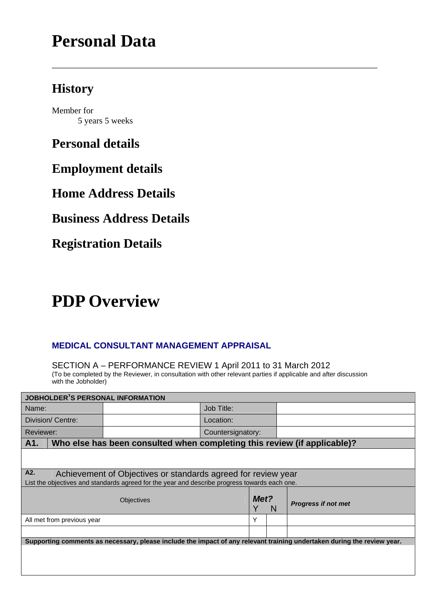# **Personal Data**

# **History**

Member for 5 years 5 weeks

**Personal details** 

**Employment details** 

**Home Address Details** 

**Business Address Details** 

**Registration Details** 

# **PDP Overview**

### **MEDICAL CONSULTANT MANAGEMENT APPRAISAL**

SECTION A – PERFORMANCE REVIEW 1 April 2011 to 31 March 2012 (To be completed by the Reviewer, in consultation with other relevant parties if applicable and after discussion with the Jobholder)

| <b>JOBHOLDER'S PERSONAL INFORMATION</b> |            |   |                   |                                                                                                                                                                                                                                                                                                                                                                               |  |  |
|-----------------------------------------|------------|---|-------------------|-------------------------------------------------------------------------------------------------------------------------------------------------------------------------------------------------------------------------------------------------------------------------------------------------------------------------------------------------------------------------------|--|--|
|                                         | Job Title: |   |                   |                                                                                                                                                                                                                                                                                                                                                                               |  |  |
|                                         | Location:  |   |                   |                                                                                                                                                                                                                                                                                                                                                                               |  |  |
|                                         |            |   |                   |                                                                                                                                                                                                                                                                                                                                                                               |  |  |
|                                         |            |   |                   |                                                                                                                                                                                                                                                                                                                                                                               |  |  |
|                                         |            |   |                   |                                                                                                                                                                                                                                                                                                                                                                               |  |  |
|                                         |            |   |                   |                                                                                                                                                                                                                                                                                                                                                                               |  |  |
| <b>Objectives</b>                       |            |   | N                 | <b>Progress if not met</b>                                                                                                                                                                                                                                                                                                                                                    |  |  |
|                                         |            | Υ |                   |                                                                                                                                                                                                                                                                                                                                                                               |  |  |
|                                         |            |   |                   |                                                                                                                                                                                                                                                                                                                                                                               |  |  |
|                                         |            |   |                   |                                                                                                                                                                                                                                                                                                                                                                               |  |  |
|                                         |            |   |                   |                                                                                                                                                                                                                                                                                                                                                                               |  |  |
|                                         |            |   |                   |                                                                                                                                                                                                                                                                                                                                                                               |  |  |
|                                         |            |   | Countersignatory: | Who else has been consulted when completing this review (if applicable)?<br>Achievement of Objectives or standards agreed for review year<br>List the objectives and standards agreed for the year and describe progress towards each one.<br>Met?<br>Supporting comments as necessary, please include the impact of any relevant training undertaken during the review year. |  |  |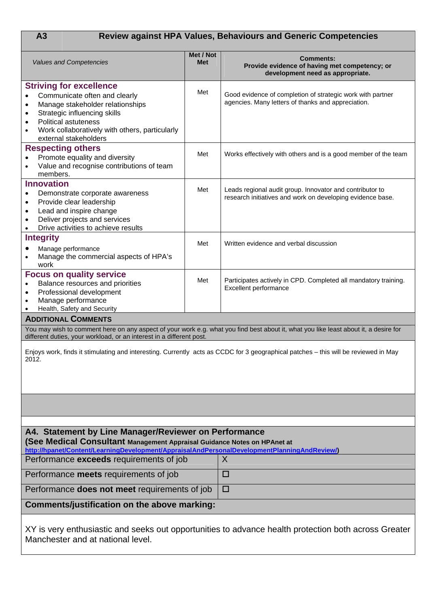# **A3 Review against HPA Values, Behaviours and Generic Competencies**

| <b>Values and Competencies</b>                                                                                                                                                                                                                                                                                 | Met / Not<br><b>Met</b> | <b>Comments:</b><br>Provide evidence of having met competency; or<br>development need as appropriate.                                |  |  |
|----------------------------------------------------------------------------------------------------------------------------------------------------------------------------------------------------------------------------------------------------------------------------------------------------------------|-------------------------|--------------------------------------------------------------------------------------------------------------------------------------|--|--|
| <b>Striving for excellence</b><br>Communicate often and clearly<br>$\bullet$<br>Manage stakeholder relationships<br>$\bullet$<br>Strategic influencing skills<br>$\bullet$<br><b>Political astuteness</b><br>$\bullet$<br>Work collaboratively with others, particularly<br>$\bullet$<br>external stakeholders | Met                     | Good evidence of completion of strategic work with partner<br>agencies. Many letters of thanks and appreciation.                     |  |  |
| <b>Respecting others</b><br>Promote equality and diversity<br>Value and recognise contributions of team<br>members.                                                                                                                                                                                            | Met                     | Works effectively with others and is a good member of the team                                                                       |  |  |
| <b>Innovation</b><br>Demonstrate corporate awareness<br>$\bullet$<br>Provide clear leadership<br>$\bullet$<br>Lead and inspire change<br>$\bullet$<br>Deliver projects and services<br>$\bullet$<br>Drive activities to achieve results                                                                        | Met                     | Leads regional audit group. Innovator and contributor to<br>research initiatives and work on developing evidence base.               |  |  |
| <b>Integrity</b><br>Manage performance<br>Manage the commercial aspects of HPA's<br>work                                                                                                                                                                                                                       | Met                     | Written evidence and verbal discussion                                                                                               |  |  |
| <b>Focus on quality service</b><br>Balance resources and priorities<br>Professional development<br>$\bullet$<br>Manage performance<br>Health, Safety and Security                                                                                                                                              | Met                     | Participates actively in CPD. Completed all mandatory training.<br>Excellent performance                                             |  |  |
| <b>ADDITIONAL COMMENTS</b>                                                                                                                                                                                                                                                                                     |                         |                                                                                                                                      |  |  |
| different duties, your workload, or an interest in a different post.                                                                                                                                                                                                                                           |                         | You may wish to comment here on any aspect of your work e.g. what you find best about it, what you like least about it, a desire for |  |  |
| 2012.                                                                                                                                                                                                                                                                                                          |                         | Enjoys work, finds it stimulating and interesting. Currently acts as CCDC for 3 geographical patches - this will be reviewed in May  |  |  |
|                                                                                                                                                                                                                                                                                                                |                         |                                                                                                                                      |  |  |
| A4. Statement by Line Manager/Reviewer on Performance<br>(See Medical Consultant Management Appraisal Guidance Notes on HPAnet at<br>http://hpanet/Content/LearningDevelopment/AppraisalAndPersonalDevelopmentPlanningAndReview/)                                                                              |                         |                                                                                                                                      |  |  |
| Performance exceeds requirements of job                                                                                                                                                                                                                                                                        |                         | X                                                                                                                                    |  |  |
| Performance meets requirements of job                                                                                                                                                                                                                                                                          |                         | □                                                                                                                                    |  |  |
| Performance <b>does not meet</b> requirements of job                                                                                                                                                                                                                                                           |                         | □                                                                                                                                    |  |  |
| Comments/justification on the above marking:                                                                                                                                                                                                                                                                   |                         |                                                                                                                                      |  |  |
| Manchester and at national level.                                                                                                                                                                                                                                                                              |                         | XY is very enthusiastic and seeks out opportunities to advance health protection both across Greater                                 |  |  |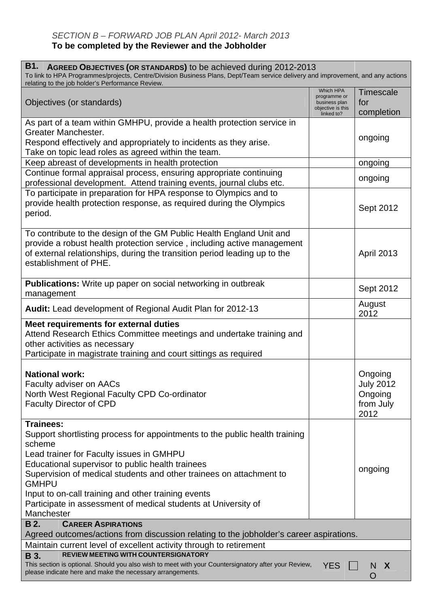#### *SECTION B – FORWARD JOB PLAN April 2012- March 2013* **To be completed by the Reviewer and the Jobholder**

| <b>B1.</b><br>AGREED OBJECTIVES (OR STANDARDS) to be achieved during 2012-2013<br>To link to HPA Programmes/projects, Centre/Division Business Plans, Dept/Team service delivery and improvement, and any actions<br>relating to the job holder's Performance Review.                                                                                                                                                                   |                                                                               |                                                             |
|-----------------------------------------------------------------------------------------------------------------------------------------------------------------------------------------------------------------------------------------------------------------------------------------------------------------------------------------------------------------------------------------------------------------------------------------|-------------------------------------------------------------------------------|-------------------------------------------------------------|
| Objectives (or standards)                                                                                                                                                                                                                                                                                                                                                                                                               | Which HPA<br>programme or<br>business plan<br>objective is this<br>linked to? | <b>Timescale</b><br>for<br>completion                       |
| As part of a team within GMHPU, provide a health protection service in<br>Greater Manchester.<br>Respond effectively and appropriately to incidents as they arise.<br>Take on topic lead roles as agreed within the team.                                                                                                                                                                                                               |                                                                               | ongoing                                                     |
| Keep abreast of developments in health protection                                                                                                                                                                                                                                                                                                                                                                                       |                                                                               | ongoing                                                     |
| Continue formal appraisal process, ensuring appropriate continuing<br>professional development. Attend training events, journal clubs etc.                                                                                                                                                                                                                                                                                              |                                                                               | ongoing                                                     |
| To participate in preparation for HPA response to Olympics and to<br>provide health protection response, as required during the Olympics<br>period.                                                                                                                                                                                                                                                                                     |                                                                               | Sept 2012                                                   |
| To contribute to the design of the GM Public Health England Unit and<br>provide a robust health protection service, including active management<br>of external relationships, during the transition period leading up to the<br>establishment of PHE.                                                                                                                                                                                   |                                                                               | <b>April 2013</b>                                           |
| <b>Publications:</b> Write up paper on social networking in outbreak<br>management                                                                                                                                                                                                                                                                                                                                                      |                                                                               | Sept 2012                                                   |
| Audit: Lead development of Regional Audit Plan for 2012-13                                                                                                                                                                                                                                                                                                                                                                              |                                                                               | August<br>2012                                              |
| Meet requirements for external duties<br>Attend Research Ethics Committee meetings and undertake training and<br>other activities as necessary<br>Participate in magistrate training and court sittings as required                                                                                                                                                                                                                     |                                                                               |                                                             |
| <b>National work:</b><br>Faculty adviser on AACs<br>North West Regional Faculty CPD Co-ordinator<br><b>Faculty Director of CPD</b>                                                                                                                                                                                                                                                                                                      |                                                                               | Ongoing<br><b>July 2012</b><br>Ongoing<br>from July<br>2012 |
| <b>Trainees:</b><br>Support shortlisting process for appointments to the public health training<br>scheme<br>Lead trainer for Faculty issues in GMHPU<br>Educational supervisor to public health trainees<br>Supervision of medical students and other trainees on attachment to<br><b>GMHPU</b><br>Input to on-call training and other training events<br>Participate in assessment of medical students at University of<br>Manchester |                                                                               | ongoing                                                     |
| <b>B</b> 2.<br><b>CAREER ASPIRATIONS</b><br>Agreed outcomes/actions from discussion relating to the jobholder's career aspirations.                                                                                                                                                                                                                                                                                                     |                                                                               |                                                             |
| Maintain current level of excellent activity through to retirement<br><b>REVIEW MEETING WITH COUNTERSIGNATORY</b><br><b>B</b> 3.                                                                                                                                                                                                                                                                                                        |                                                                               |                                                             |
| This section is optional. Should you also wish to meet with your Countersignatory after your Review,<br>please indicate here and make the necessary arrangements.                                                                                                                                                                                                                                                                       | <b>YES</b>                                                                    | N<br>X<br>Ő                                                 |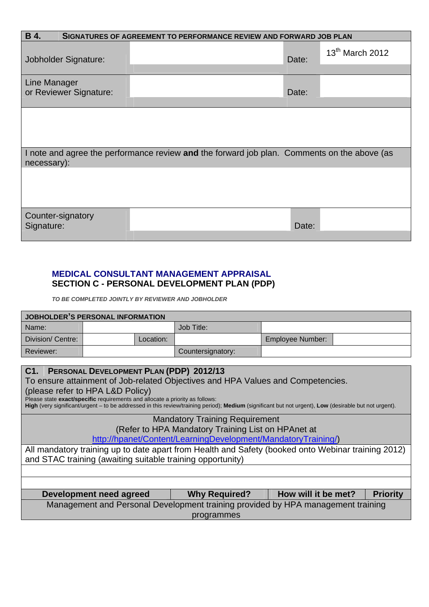| <b>B</b> 4.<br>SIGNATURES OF AGREEMENT TO PERFORMANCE REVIEW AND FORWARD JOB PLAN |                                                                                             |       |                   |  |  |  |
|-----------------------------------------------------------------------------------|---------------------------------------------------------------------------------------------|-------|-------------------|--|--|--|
| Jobholder Signature:                                                              |                                                                                             | Date: | $13th$ March 2012 |  |  |  |
|                                                                                   |                                                                                             |       |                   |  |  |  |
| Line Manager<br>or Reviewer Signature:                                            |                                                                                             | Date: |                   |  |  |  |
|                                                                                   |                                                                                             |       |                   |  |  |  |
|                                                                                   |                                                                                             |       |                   |  |  |  |
| necessary):                                                                       | I note and agree the performance review and the forward job plan. Comments on the above (as |       |                   |  |  |  |
|                                                                                   |                                                                                             |       |                   |  |  |  |
| Counter-signatory<br>Signature:                                                   |                                                                                             | Date: |                   |  |  |  |

### **MEDICAL CONSULTANT MANAGEMENT APPRAISAL SECTION C - PERSONAL DEVELOPMENT PLAN (PDP)**

*TO BE COMPLETED JOINTLY BY REVIEWER AND JOBHOLDER* 

| JOBHOLDER'S PERSONAL INFORMATION |           |                   |                  |  |  |  |  |
|----------------------------------|-----------|-------------------|------------------|--|--|--|--|
| Name:                            |           | Job Title:        |                  |  |  |  |  |
| Division/Centre:                 | Location: |                   | Employee Number: |  |  |  |  |
| Reviewer:                        |           | Countersignatory: |                  |  |  |  |  |

| C1. PERSONAL DEVELOPMENT PLAN (PDP) 2012/13<br>To ensure attainment of Job-related Objectives and HPA Values and Competencies.<br>(please refer to HPA L&D Policy)<br>Please state exact/specific requirements and allocate a priority as follows:<br>High (very significant/urgent - to be addressed in this review/training period); Medium (significant but not urgent), Low (desirable but not urgent). |                                                                                  |                     |                 |  |  |  |  |
|-------------------------------------------------------------------------------------------------------------------------------------------------------------------------------------------------------------------------------------------------------------------------------------------------------------------------------------------------------------------------------------------------------------|----------------------------------------------------------------------------------|---------------------|-----------------|--|--|--|--|
|                                                                                                                                                                                                                                                                                                                                                                                                             | <b>Mandatory Training Requirement</b>                                            |                     |                 |  |  |  |  |
|                                                                                                                                                                                                                                                                                                                                                                                                             | (Refer to HPA Mandatory Training List on HPAnet at                               |                     |                 |  |  |  |  |
|                                                                                                                                                                                                                                                                                                                                                                                                             | http://hpanet/Content/LearningDevelopment/MandatoryTraining/)                    |                     |                 |  |  |  |  |
| All mandatory training up to date apart from Health and Safety (booked onto Webinar training 2012)<br>and STAC training (awaiting suitable training opportunity)                                                                                                                                                                                                                                            |                                                                                  |                     |                 |  |  |  |  |
|                                                                                                                                                                                                                                                                                                                                                                                                             |                                                                                  |                     |                 |  |  |  |  |
|                                                                                                                                                                                                                                                                                                                                                                                                             |                                                                                  |                     |                 |  |  |  |  |
| Development need agreed                                                                                                                                                                                                                                                                                                                                                                                     | <b>Why Required?</b>                                                             | How will it be met? | <b>Priority</b> |  |  |  |  |
|                                                                                                                                                                                                                                                                                                                                                                                                             | Management and Personal Development training provided by HPA management training |                     |                 |  |  |  |  |
|                                                                                                                                                                                                                                                                                                                                                                                                             | programmes                                                                       |                     |                 |  |  |  |  |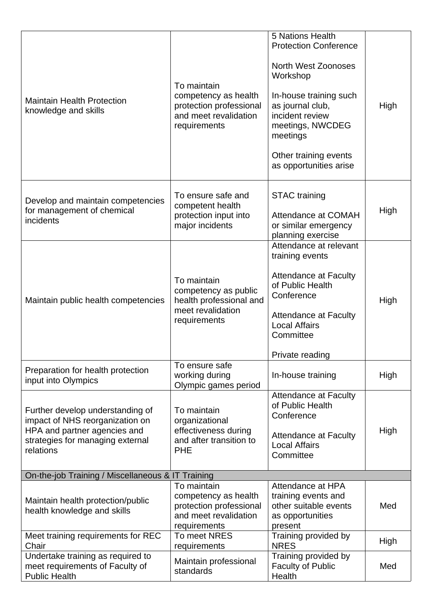| <b>Maintain Health Protection</b><br>knowledge and skills                                                                                            | To maintain<br>competency as health<br>protection professional<br>and meet revalidation<br>requirements | 5 Nations Health<br><b>Protection Conference</b><br><b>North West Zoonoses</b><br>Workshop<br>In-house training such<br>as journal club,<br>incident review<br>meetings, NWCDEG<br>meetings<br>Other training events<br>as opportunities arise | High |
|------------------------------------------------------------------------------------------------------------------------------------------------------|---------------------------------------------------------------------------------------------------------|------------------------------------------------------------------------------------------------------------------------------------------------------------------------------------------------------------------------------------------------|------|
| Develop and maintain competencies<br>for management of chemical<br>incidents                                                                         | To ensure safe and<br>competent health<br>protection input into<br>major incidents                      | <b>STAC</b> training<br><b>Attendance at COMAH</b><br>or similar emergency<br>planning exercise                                                                                                                                                | High |
| Maintain public health competencies                                                                                                                  | To maintain<br>competency as public<br>health professional and<br>meet revalidation<br>requirements     | Attendance at relevant<br>training events<br><b>Attendance at Faculty</b><br>of Public Health<br>Conference<br><b>Attendance at Faculty</b><br><b>Local Affairs</b><br>Committee<br>Private reading                                            | High |
| Preparation for health protection<br>input into Olympics                                                                                             | To ensure safe<br>working during<br>Olympic games period                                                | In-house training                                                                                                                                                                                                                              | High |
| Further develop understanding of<br>impact of NHS reorganization on<br>HPA and partner agencies and<br>strategies for managing external<br>relations | To maintain<br>organizational<br>effectiveness during<br>and after transition to<br><b>PHE</b>          | <b>Attendance at Faculty</b><br>of Public Health<br>Conference<br><b>Attendance at Faculty</b><br><b>Local Affairs</b><br>Committee                                                                                                            | High |
| On-the-job Training / Miscellaneous & IT Training                                                                                                    |                                                                                                         |                                                                                                                                                                                                                                                |      |
| Maintain health protection/public<br>health knowledge and skills                                                                                     | To maintain<br>competency as health<br>protection professional<br>and meet revalidation<br>requirements | Attendance at HPA<br>training events and<br>other suitable events<br>as opportunities<br>present                                                                                                                                               | Med  |
| Meet training requirements for REC<br>Chair                                                                                                          | To meet NRES<br>requirements                                                                            | Training provided by<br><b>NRES</b>                                                                                                                                                                                                            | High |
| Undertake training as required to<br>meet requirements of Faculty of<br><b>Public Health</b>                                                         | Maintain professional<br>standards                                                                      | Training provided by<br><b>Faculty of Public</b><br>Health                                                                                                                                                                                     | Med  |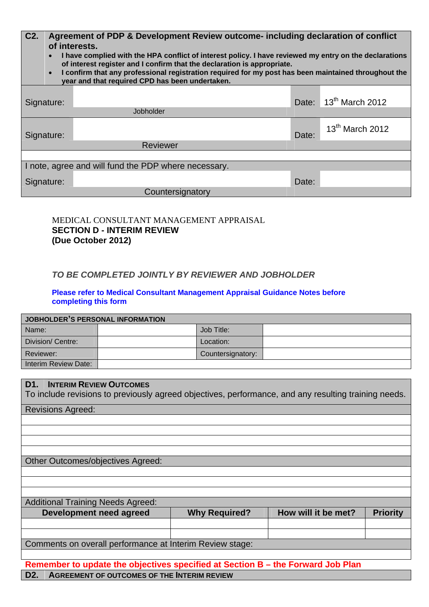| C <sub>2</sub> . | Agreement of PDP & Development Review outcome- including declaration of conflict<br>of interests.<br>I have complied with the HPA conflict of interest policy. I have reviewed my entry on the declarations<br>$\bullet$<br>of interest register and I confirm that the declaration is appropriate.<br>I confirm that any professional registration required for my post has been maintained throughout the<br>$\bullet$<br>year and that required CPD has been undertaken. |                                                      |       |                                   |  |  |  |  |
|------------------|-----------------------------------------------------------------------------------------------------------------------------------------------------------------------------------------------------------------------------------------------------------------------------------------------------------------------------------------------------------------------------------------------------------------------------------------------------------------------------|------------------------------------------------------|-------|-----------------------------------|--|--|--|--|
| Signature:       |                                                                                                                                                                                                                                                                                                                                                                                                                                                                             | Jobholder                                            |       | Date: 13 <sup>th</sup> March 2012 |  |  |  |  |
| Signature:       |                                                                                                                                                                                                                                                                                                                                                                                                                                                                             |                                                      | Date: | 13 <sup>th</sup> March 2012       |  |  |  |  |
|                  |                                                                                                                                                                                                                                                                                                                                                                                                                                                                             | <b>Reviewer</b>                                      |       |                                   |  |  |  |  |
|                  |                                                                                                                                                                                                                                                                                                                                                                                                                                                                             | I note, agree and will fund the PDP where necessary. |       |                                   |  |  |  |  |
| Signature:       |                                                                                                                                                                                                                                                                                                                                                                                                                                                                             | Countersignatory                                     | Date: |                                   |  |  |  |  |

MEDICAL CONSULTANT MANAGEMENT APPRAISAL **SECTION D - INTERIM REVIEW (Due October 2012)** 

#### *TO BE COMPLETED JOINTLY BY REVIEWER AND JOBHOLDER*

**Please refer to Medical Consultant Management Appraisal Guidance Notes before completing this form** 

| JOBHOLDER'S PERSONAL INFORMATION |  |                   |  |  |  |
|----------------------------------|--|-------------------|--|--|--|
| Name:                            |  | Job Title:        |  |  |  |
| Division/Centre:                 |  | Location:         |  |  |  |
| Reviewer:                        |  | Countersignatory: |  |  |  |
| Interim Review Date:             |  |                   |  |  |  |

|   |  |  | <b>D1. INTERIM REVIEW OUTCOMES</b> |  |  |
|---|--|--|------------------------------------|--|--|
| . |  |  |                                    |  |  |

To include revisions to previously agreed objectives, performance, and any resulting training needs.

Revisions Agreed:

Other Outcomes/objectives Agreed:

Additional Training Needs Agreed:

| Development need agreed                                  | <b>Why Required?</b> | How will it be met? | <b>Priority</b> |
|----------------------------------------------------------|----------------------|---------------------|-----------------|
|                                                          |                      |                     |                 |
|                                                          |                      |                     |                 |
| Comments on overall performance at Interim Review stage: |                      |                     |                 |

**Remember to update the objectives specified at Section B – the Forward Job Plan D2. AGREEMENT OF OUTCOMES OF THE INTERIM REVIEW**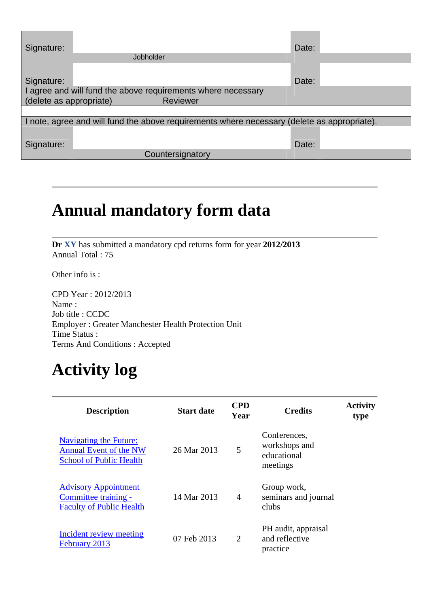| Signature:<br>Date:<br>Jobholder                                                                                           |  |
|----------------------------------------------------------------------------------------------------------------------------|--|
| Date:<br>Signature:<br>I agree and will fund the above requirements where necessary<br>(delete as appropriate)<br>Reviewer |  |
| I note, agree and will fund the above requirements where necessary (delete as appropriate).                                |  |
| Date:<br>Signature:<br>Countersignatory                                                                                    |  |

# **Annual mandatory form data**

**Dr XY** has submitted a mandatory cpd returns form for year **2012/2013** Annual Total : 75

Other info is :

CPD Year : 2012/2013 Name : Job title : CCDC Employer : Greater Manchester Health Protection Unit Time Status : Terms And Conditions : Accepted

# **Activity log**

| <b>Description</b>                                                                               | <b>Start date</b> | <b>CPD</b><br>Year | <b>Credits</b>                                           | <b>Activity</b><br>type |
|--------------------------------------------------------------------------------------------------|-------------------|--------------------|----------------------------------------------------------|-------------------------|
| <b>Navigating the Future:</b><br><b>Annual Event of the NW</b><br><b>School of Public Health</b> | 26 Mar 2013       | 5                  | Conferences.<br>workshops and<br>educational<br>meetings |                         |
| <b>Advisory Appointment</b><br>Committee training -<br><b>Faculty of Public Health</b>           | 14 Mar 2013       | $\overline{4}$     | Group work,<br>seminars and journal<br>clubs             |                         |
| Incident review meeting<br>February 2013                                                         | 07 Feb 2013       | 2                  | PH audit, appraisal<br>and reflective<br>practice        |                         |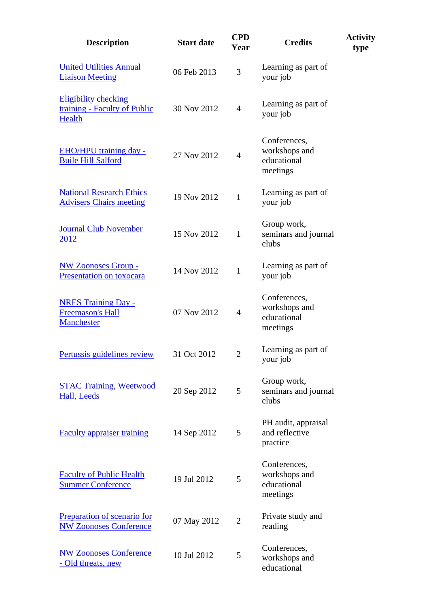| <b>Description</b>                                                    | <b>Start date</b> | <b>CPD</b><br>Year | <b>Credits</b>                                           | <b>Activity</b><br>type |
|-----------------------------------------------------------------------|-------------------|--------------------|----------------------------------------------------------|-------------------------|
| <b>United Utilities Annual</b><br><b>Liaison Meeting</b>              | 06 Feb 2013       | 3                  | Learning as part of<br>your job                          |                         |
| <b>Eligibility checking</b><br>training - Faculty of Public<br>Health | 30 Nov 2012       | $\overline{4}$     | Learning as part of<br>your job                          |                         |
| EHO/HPU training day -<br><b>Buile Hill Salford</b>                   | 27 Nov 2012       | $\overline{4}$     | Conferences,<br>workshops and<br>educational<br>meetings |                         |
| <b>National Research Ethics</b><br><b>Advisers Chairs meeting</b>     | 19 Nov 2012       | $\mathbf{1}$       | Learning as part of<br>your job                          |                         |
| <b>Journal Club November</b><br>2012                                  | 15 Nov 2012       | $\mathbf{1}$       | Group work,<br>seminars and journal<br>clubs             |                         |
| <b>NW Zoonoses Group -</b><br>Presentation on toxocara                | 14 Nov 2012       | $\mathbf{1}$       | Learning as part of<br>your job                          |                         |
| <b>NRES Training Day -</b><br><b>Freemason's Hall</b><br>Manchester   | 07 Nov 2012       | $\overline{4}$     | Conferences,<br>workshops and<br>educational<br>meetings |                         |
| Pertussis guidelines review                                           | 31 Oct 2012       | $\overline{2}$     | Learning as part of<br>your job                          |                         |
| <b>STAC Training, Weetwood</b><br>Hall, Leeds                         | 20 Sep 2012       | 5                  | Group work,<br>seminars and journal<br>clubs             |                         |
| <b>Faculty appraiser training</b>                                     | 14 Sep 2012       | 5                  | PH audit, appraisal<br>and reflective<br>practice        |                         |
| <b>Faculty of Public Health</b><br><b>Summer Conference</b>           | 19 Jul 2012       | 5                  | Conferences,<br>workshops and<br>educational<br>meetings |                         |
| Preparation of scenario for<br><b>NW Zoonoses Conference</b>          | 07 May 2012       | $\overline{2}$     | Private study and<br>reading                             |                         |
| <b>NW Zoonoses Conference</b><br>- Old threats, new                   | 10 Jul 2012       | 5                  | Conferences,<br>workshops and<br>educational             |                         |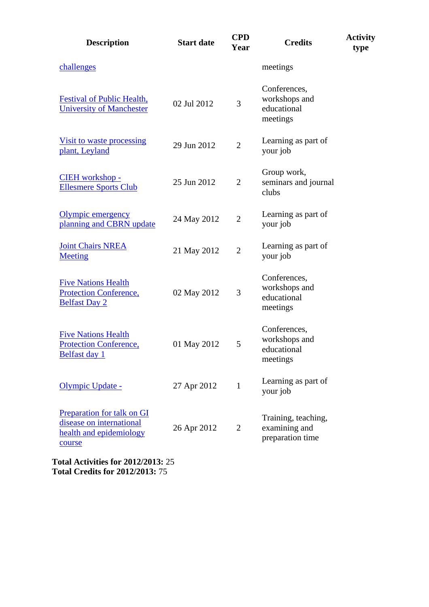| <b>Description</b>                                                                          | <b>Start date</b> | <b>CPD</b><br>Year | <b>Credits</b>                                           | <b>Activity</b><br>type |
|---------------------------------------------------------------------------------------------|-------------------|--------------------|----------------------------------------------------------|-------------------------|
| challenges                                                                                  |                   |                    | meetings                                                 |                         |
| <b>Festival of Public Health,</b><br><b>University of Manchester</b>                        | 02 Jul 2012       | 3                  | Conferences,<br>workshops and<br>educational<br>meetings |                         |
| Visit to waste processing<br>plant, Leyland                                                 | 29 Jun 2012       | $\overline{2}$     | Learning as part of<br>your job                          |                         |
| CIEH workshop -<br><b>Ellesmere Sports Club</b>                                             | 25 Jun 2012       | $\overline{2}$     | Group work,<br>seminars and journal<br>clubs             |                         |
| Olympic emergency<br>planning and CBRN update                                               | 24 May 2012       | $\overline{2}$     | Learning as part of<br>your job                          |                         |
| <b>Joint Chairs NREA</b><br>Meeting                                                         | 21 May 2012       | $\overline{2}$     | Learning as part of<br>your job                          |                         |
| <b>Five Nations Health</b><br><b>Protection Conference,</b><br><b>Belfast Day 2</b>         | 02 May 2012       | 3                  | Conferences,<br>workshops and<br>educational<br>meetings |                         |
| <b>Five Nations Health</b><br><b>Protection Conference,</b><br><b>Belfast day 1</b>         | 01 May 2012       | 5                  | Conferences,<br>workshops and<br>educational<br>meetings |                         |
| Olympic Update -                                                                            | 27 Apr 2012       | 1                  | Learning as part of<br>your job                          |                         |
| Preparation for talk on GI<br>disease on international<br>health and epidemiology<br>course | 26 Apr 2012       | $\overline{2}$     | Training, teaching,<br>examining and<br>preparation time |                         |
| <b>Total Activities for 2012/2013: 25</b><br><b>Total Credits for 2012/2013: 75</b>         |                   |                    |                                                          |                         |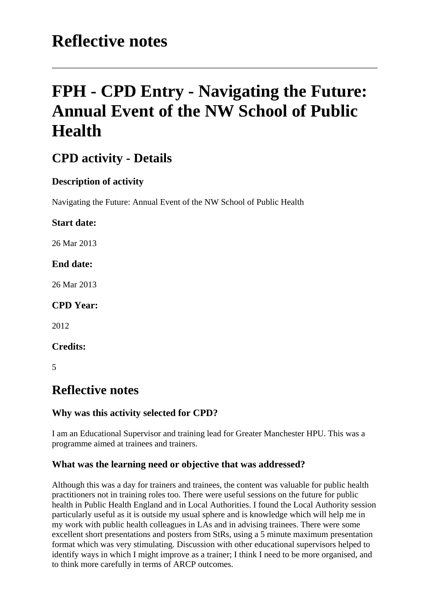# **Reflective notes**

# **FPH - CPD Entry - Navigating the Future: Annual Event of the NW School of Public Health**

# **CPD activity - Details**

# **Description of activity**

Navigating the Future: Annual Event of the NW School of Public Health

### **Start date:**

26 Mar 2013

#### **End date:**

26 Mar 2013

### **CPD Year:**

2012

**Credits:** 

5

# **Reflective notes**

### **Why was this activity selected for CPD?**

I am an Educational Supervisor and training lead for Greater Manchester HPU. This was a programme aimed at trainees and trainers.

### **What was the learning need or objective that was addressed?**

Although this was a day for trainers and trainees, the content was valuable for public health practitioners not in training roles too. There were useful sessions on the future for public health in Public Health England and in Local Authorities. I found the Local Authority session particularly useful as it is outside my usual sphere and is knowledge which will help me in my work with public health colleagues in LAs and in advising trainees. There were some excellent short presentations and posters from StRs, using a 5 minute maximum presentation format which was very stimulating. Discussion with other educational supervisors helped to identify ways in which I might improve as a trainer; I think I need to be more organised, and to think more carefully in terms of ARCP outcomes.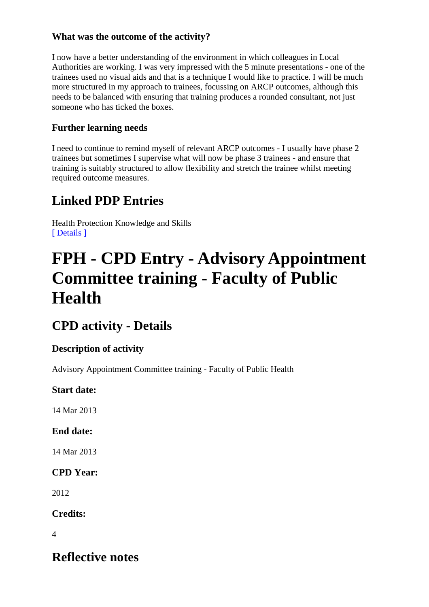## **What was the outcome of the activity?**

I now have a better understanding of the environment in which colleagues in Local Authorities are working. I was very impressed with the 5 minute presentations - one of the trainees used no visual aids and that is a technique I would like to practice. I will be much more structured in my approach to trainees, focussing on ARCP outcomes, although this needs to be balanced with ensuring that training produces a rounded consultant, not just someone who has ticked the boxes.

# **Further learning needs**

I need to continue to remind myself of relevant ARCP outcomes - I usually have phase 2 trainees but sometimes I supervise what will now be phase 3 trainees - and ensure that training is suitably structured to allow flexibility and stretch the trainee whilst meeting required outcome measures.

# **Linked PDP Entries**

Health Protection Knowledge and Skills [ Details ]

# **FPH - CPD Entry - Advisory Appointment Committee training - Faculty of Public Health**

# **CPD activity - Details**

### **Description of activity**

Advisory Appointment Committee training - Faculty of Public Health

### **Start date:**

14 Mar 2013

# **End date:**

14 Mar 2013

# **CPD Year:**

2012

**Credits:** 

 $\Delta$ 

# **Reflective notes**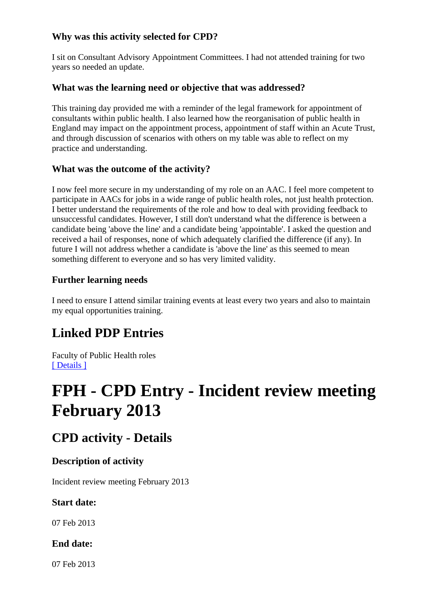### **Why was this activity selected for CPD?**

I sit on Consultant Advisory Appointment Committees. I had not attended training for two years so needed an update.

#### **What was the learning need or objective that was addressed?**

This training day provided me with a reminder of the legal framework for appointment of consultants within public health. I also learned how the reorganisation of public health in England may impact on the appointment process, appointment of staff within an Acute Trust, and through discussion of scenarios with others on my table was able to reflect on my practice and understanding.

#### **What was the outcome of the activity?**

I now feel more secure in my understanding of my role on an AAC. I feel more competent to participate in AACs for jobs in a wide range of public health roles, not just health protection. I better understand the requirements of the role and how to deal with providing feedback to unsuccessful candidates. However, I still don't understand what the difference is between a candidate being 'above the line' and a candidate being 'appointable'. I asked the question and received a hail of responses, none of which adequately clarified the difference (if any). In future I will not address whether a candidate is 'above the line' as this seemed to mean something different to everyone and so has very limited validity.

### **Further learning needs**

I need to ensure I attend similar training events at least every two years and also to maintain my equal opportunities training.

# **Linked PDP Entries**

Faculty of Public Health roles [ Details ]

# **FPH - CPD Entry - Incident review meeting February 2013**

# **CPD activity - Details**

### **Description of activity**

Incident review meeting February 2013

#### **Start date:**

07 Feb 2013

### **End date:**

07 Feb 2013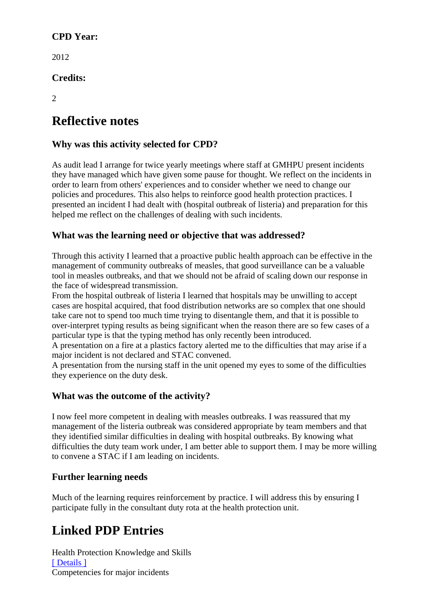### **CPD Year:**

2012

**Credits:** 

 $\mathcal{D}_{\alpha}$ 

# **Reflective notes**

# **Why was this activity selected for CPD?**

As audit lead I arrange for twice yearly meetings where staff at GMHPU present incidents they have managed which have given some pause for thought. We reflect on the incidents in order to learn from others' experiences and to consider whether we need to change our policies and procedures. This also helps to reinforce good health protection practices. I presented an incident I had dealt with (hospital outbreak of listeria) and preparation for this helped me reflect on the challenges of dealing with such incidents.

## **What was the learning need or objective that was addressed?**

Through this activity I learned that a proactive public health approach can be effective in the management of community outbreaks of measles, that good surveillance can be a valuable tool in measles outbreaks, and that we should not be afraid of scaling down our response in the face of widespread transmission.

From the hospital outbreak of listeria I learned that hospitals may be unwilling to accept cases are hospital acquired, that food distribution networks are so complex that one should take care not to spend too much time trying to disentangle them, and that it is possible to over-interpret typing results as being significant when the reason there are so few cases of a particular type is that the typing method has only recently been introduced.

A presentation on a fire at a plastics factory alerted me to the difficulties that may arise if a major incident is not declared and STAC convened.

A presentation from the nursing staff in the unit opened my eyes to some of the difficulties they experience on the duty desk.

### **What was the outcome of the activity?**

I now feel more competent in dealing with measles outbreaks. I was reassured that my management of the listeria outbreak was considered appropriate by team members and that they identified similar difficulties in dealing with hospital outbreaks. By knowing what difficulties the duty team work under, I am better able to support them. I may be more willing to convene a STAC if I am leading on incidents.

### **Further learning needs**

Much of the learning requires reinforcement by practice. I will address this by ensuring I participate fully in the consultant duty rota at the health protection unit.

# **Linked PDP Entries**

Health Protection Knowledge and Skills [ Details ] Competencies for major incidents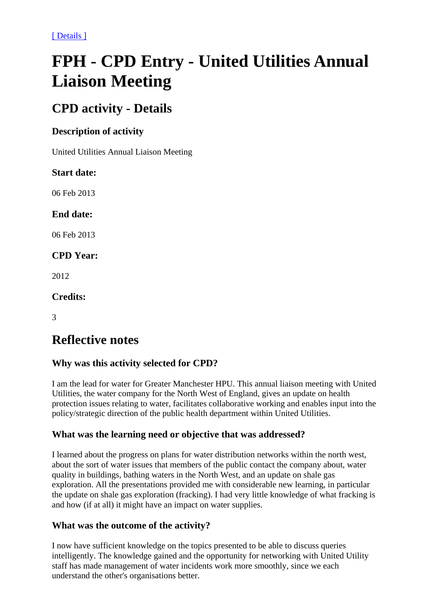[ Details ]

# **FPH - CPD Entry - United Utilities Annual Liaison Meeting**

# **CPD activity - Details**

### **Description of activity**

United Utilities Annual Liaison Meeting

### **Start date:**

06 Feb 2013

### **End date:**

06 Feb 2013

## **CPD Year:**

2012

#### **Credits:**

3

# **Reflective notes**

# **Why was this activity selected for CPD?**

I am the lead for water for Greater Manchester HPU. This annual liaison meeting with United Utilities, the water company for the North West of England, gives an update on health protection issues relating to water, facilitates collaborative working and enables input into the policy/strategic direction of the public health department within United Utilities.

### **What was the learning need or objective that was addressed?**

I learned about the progress on plans for water distribution networks within the north west, about the sort of water issues that members of the public contact the company about, water quality in buildings, bathing waters in the North West, and an update on shale gas exploration. All the presentations provided me with considerable new learning, in particular the update on shale gas exploration (fracking). I had very little knowledge of what fracking is and how (if at all) it might have an impact on water supplies.

### **What was the outcome of the activity?**

I now have sufficient knowledge on the topics presented to be able to discuss queries intelligently. The knowledge gained and the opportunity for networking with United Utility staff has made management of water incidents work more smoothly, since we each understand the other's organisations better.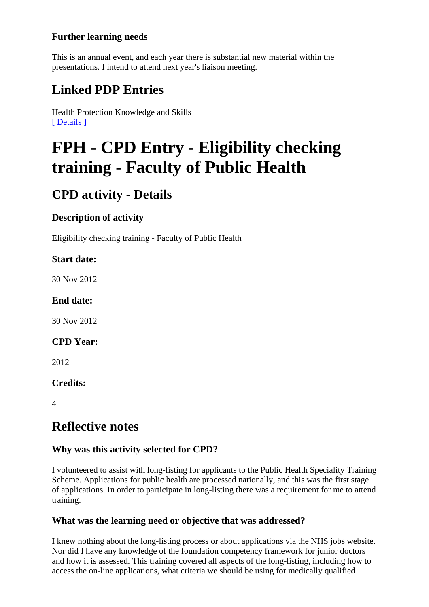## **Further learning needs**

This is an annual event, and each year there is substantial new material within the presentations. I intend to attend next year's liaison meeting.

# **Linked PDP Entries**

Health Protection Knowledge and Skills [ Details ]

# **FPH - CPD Entry - Eligibility checking training - Faculty of Public Health**

# **CPD activity - Details**

# **Description of activity**

Eligibility checking training - Faculty of Public Health

### **Start date:**

30 Nov 2012

### **End date:**

30 Nov 2012

### **CPD Year:**

2012

### **Credits:**

 $\Delta$ 

# **Reflective notes**

### **Why was this activity selected for CPD?**

I volunteered to assist with long-listing for applicants to the Public Health Speciality Training Scheme. Applications for public health are processed nationally, and this was the first stage of applications. In order to participate in long-listing there was a requirement for me to attend training.

### **What was the learning need or objective that was addressed?**

I knew nothing about the long-listing process or about applications via the NHS jobs website. Nor did I have any knowledge of the foundation competency framework for junior doctors and how it is assessed. This training covered all aspects of the long-listing, including how to access the on-line applications, what criteria we should be using for medically qualified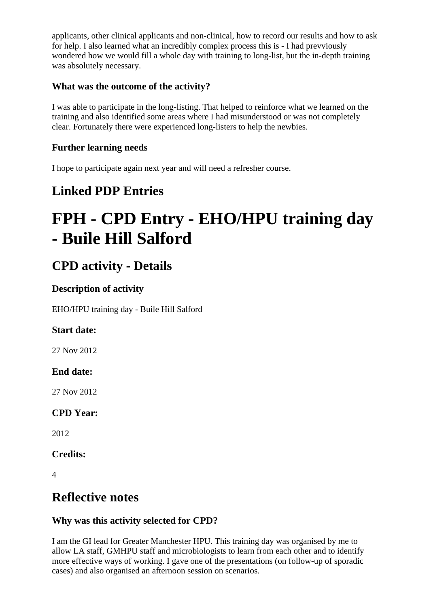applicants, other clinical applicants and non-clinical, how to record our results and how to ask for help. I also learned what an incredibly complex process this is - I had prevviously wondered how we would fill a whole day with training to long-list, but the in-depth training was absolutely necessary.

### **What was the outcome of the activity?**

I was able to participate in the long-listing. That helped to reinforce what we learned on the training and also identified some areas where I had misunderstood or was not completely clear. Fortunately there were experienced long-listers to help the newbies.

## **Further learning needs**

I hope to participate again next year and will need a refresher course.

# **Linked PDP Entries**

# **FPH - CPD Entry - EHO/HPU training day - Buile Hill Salford**

# **CPD activity - Details**

## **Description of activity**

EHO/HPU training day - Buile Hill Salford

# **Start date:**

27 Nov 2012

# **End date:**

27 Nov 2012

# **CPD Year:**

2012

**Credits:** 

4

# **Reflective notes**

# **Why was this activity selected for CPD?**

I am the GI lead for Greater Manchester HPU. This training day was organised by me to allow LA staff, GMHPU staff and microbiologists to learn from each other and to identify more effective ways of working. I gave one of the presentations (on follow-up of sporadic cases) and also organised an afternoon session on scenarios.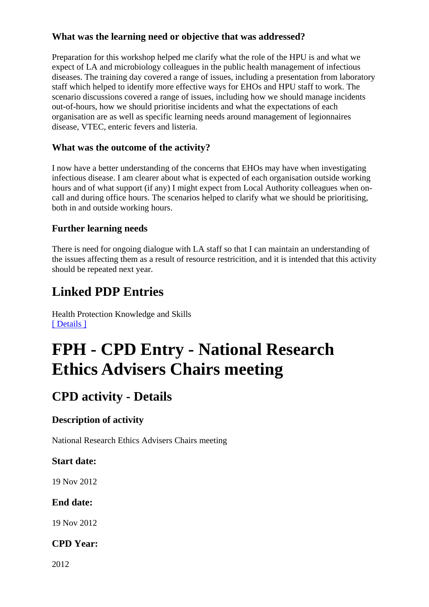### **What was the learning need or objective that was addressed?**

Preparation for this workshop helped me clarify what the role of the HPU is and what we expect of LA and microbiology colleagues in the public health management of infectious diseases. The training day covered a range of issues, including a presentation from laboratory staff which helped to identify more effective ways for EHOs and HPU staff to work. The scenario discussions covered a range of issues, including how we should manage incidents out-of-hours, how we should prioritise incidents and what the expectations of each organisation are as well as specific learning needs around management of legionnaires disease, VTEC, enteric fevers and listeria.

### **What was the outcome of the activity?**

I now have a better understanding of the concerns that EHOs may have when investigating infectious disease. I am clearer about what is expected of each organisation outside working hours and of what support (if any) I might expect from Local Authority colleagues when oncall and during office hours. The scenarios helped to clarify what we should be prioritising, both in and outside working hours.

### **Further learning needs**

There is need for ongoing dialogue with LA staff so that I can maintain an understanding of the issues affecting them as a result of resource restricition, and it is intended that this activity should be repeated next year.

# **Linked PDP Entries**

Health Protection Knowledge and Skills [ Details ]

# **FPH - CPD Entry - National Research Ethics Advisers Chairs meeting**

# **CPD activity - Details**

# **Description of activity**

National Research Ethics Advisers Chairs meeting

### **Start date:**

19 Nov 2012

### **End date:**

19 Nov 2012

### **CPD Year:**

2012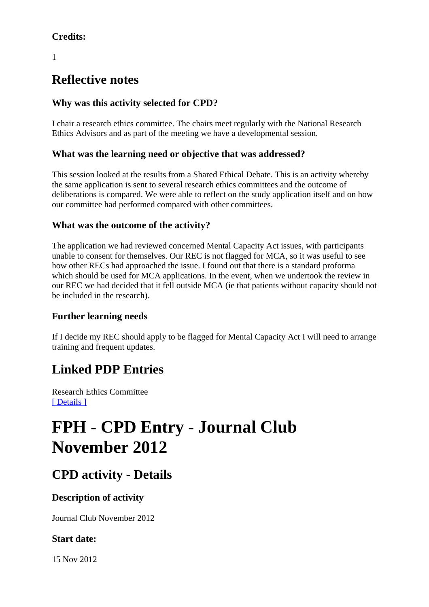# **Credits:**

1

# **Reflective notes**

## **Why was this activity selected for CPD?**

I chair a research ethics committee. The chairs meet regularly with the National Research Ethics Advisors and as part of the meeting we have a developmental session.

### **What was the learning need or objective that was addressed?**

This session looked at the results from a Shared Ethical Debate. This is an activity whereby the same application is sent to several research ethics committees and the outcome of deliberations is compared. We were able to reflect on the study application itself and on how our committee had performed compared with other committees.

### **What was the outcome of the activity?**

The application we had reviewed concerned Mental Capacity Act issues, with participants unable to consent for themselves. Our REC is not flagged for MCA, so it was useful to see how other RECs had approached the issue. I found out that there is a standard proforma which should be used for MCA applications. In the event, when we undertook the review in our REC we had decided that it fell outside MCA (ie that patients without capacity should not be included in the research).

### **Further learning needs**

If I decide my REC should apply to be flagged for Mental Capacity Act I will need to arrange training and frequent updates.

# **Linked PDP Entries**

Research Ethics Committee [ Details ]

# **FPH - CPD Entry - Journal Club November 2012**

# **CPD activity - Details**

# **Description of activity**

Journal Club November 2012

# **Start date:**

15 Nov 2012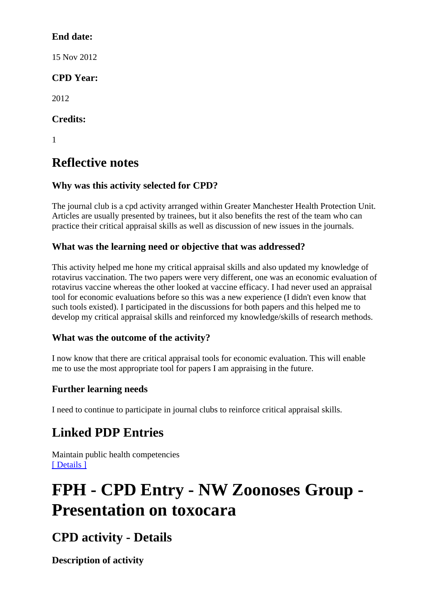## **End date:**

15 Nov 2012

# **CPD Year:**

2012

# **Credits:**

1

# **Reflective notes**

# **Why was this activity selected for CPD?**

The journal club is a cpd activity arranged within Greater Manchester Health Protection Unit. Articles are usually presented by trainees, but it also benefits the rest of the team who can practice their critical appraisal skills as well as discussion of new issues in the journals.

# **What was the learning need or objective that was addressed?**

This activity helped me hone my critical appraisal skills and also updated my knowledge of rotavirus vaccination. The two papers were very different, one was an economic evaluation of rotavirus vaccine whereas the other looked at vaccine efficacy. I had never used an appraisal tool for economic evaluations before so this was a new experience (I didn't even know that such tools existed). I participated in the discussions for both papers and this helped me to develop my critical appraisal skills and reinforced my knowledge/skills of research methods.

# **What was the outcome of the activity?**

I now know that there are critical appraisal tools for economic evaluation. This will enable me to use the most appropriate tool for papers I am appraising in the future.

# **Further learning needs**

I need to continue to participate in journal clubs to reinforce critical appraisal skills.

# **Linked PDP Entries**

Maintain public health competencies [ Details ]

# **FPH - CPD Entry - NW Zoonoses Group - Presentation on toxocara**

# **CPD activity - Details**

**Description of activity**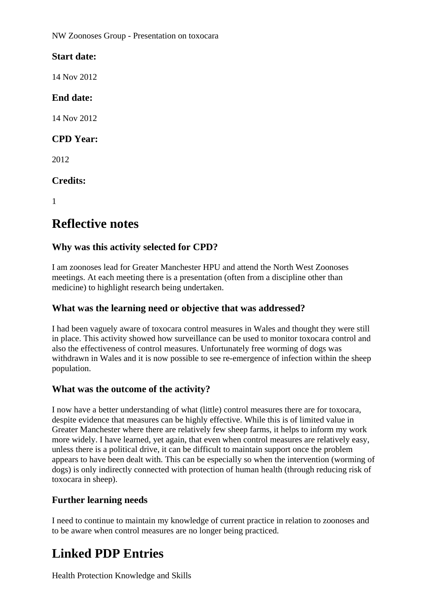NW Zoonoses Group - Presentation on toxocara

## **Start date:**

14 Nov 2012

### **End date:**

14 Nov 2012

### **CPD Year:**

2012

## **Credits:**

1

# **Reflective notes**

## **Why was this activity selected for CPD?**

I am zoonoses lead for Greater Manchester HPU and attend the North West Zoonoses meetings. At each meeting there is a presentation (often from a discipline other than medicine) to highlight research being undertaken.

### **What was the learning need or objective that was addressed?**

I had been vaguely aware of toxocara control measures in Wales and thought they were still in place. This activity showed how surveillance can be used to monitor toxocara control and also the effectiveness of control measures. Unfortunately free worming of dogs was withdrawn in Wales and it is now possible to see re-emergence of infection within the sheep population.

### **What was the outcome of the activity?**

I now have a better understanding of what (little) control measures there are for toxocara, despite evidence that measures can be highly effective. While this is of limited value in Greater Manchester where there are relatively few sheep farms, it helps to inform my work more widely. I have learned, yet again, that even when control measures are relatively easy, unless there is a political drive, it can be difficult to maintain support once the problem appears to have been dealt with. This can be especially so when the intervention (worming of dogs) is only indirectly connected with protection of human health (through reducing risk of toxocara in sheep).

### **Further learning needs**

I need to continue to maintain my knowledge of current practice in relation to zoonoses and to be aware when control measures are no longer being practiced.

# **Linked PDP Entries**

Health Protection Knowledge and Skills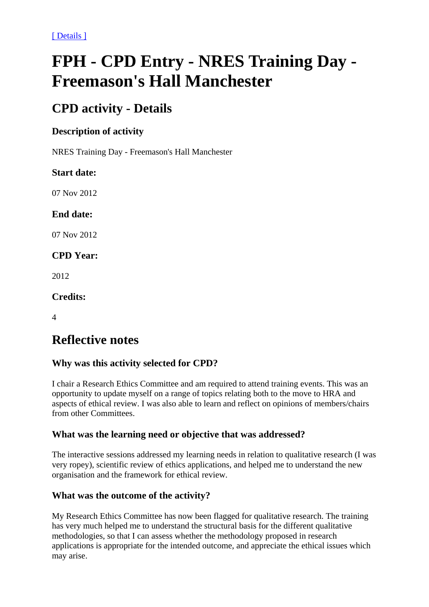[ Details ]

# **FPH - CPD Entry - NRES Training Day - Freemason's Hall Manchester**

# **CPD activity - Details**

#### **Description of activity**

NRES Training Day - Freemason's Hall Manchester

#### **Start date:**

07 Nov 2012

#### **End date:**

07 Nov 2012

### **CPD Year:**

2012

#### **Credits:**

4

# **Reflective notes**

### **Why was this activity selected for CPD?**

I chair a Research Ethics Committee and am required to attend training events. This was an opportunity to update myself on a range of topics relating both to the move to HRA and aspects of ethical review. I was also able to learn and reflect on opinions of members/chairs from other Committees.

#### **What was the learning need or objective that was addressed?**

The interactive sessions addressed my learning needs in relation to qualitative research (I was very ropey), scientific review of ethics applications, and helped me to understand the new organisation and the framework for ethical review.

### **What was the outcome of the activity?**

My Research Ethics Committee has now been flagged for qualitative research. The training has very much helped me to understand the structural basis for the different qualitative methodologies, so that I can assess whether the methodology proposed in research applications is appropriate for the intended outcome, and appreciate the ethical issues which may arise.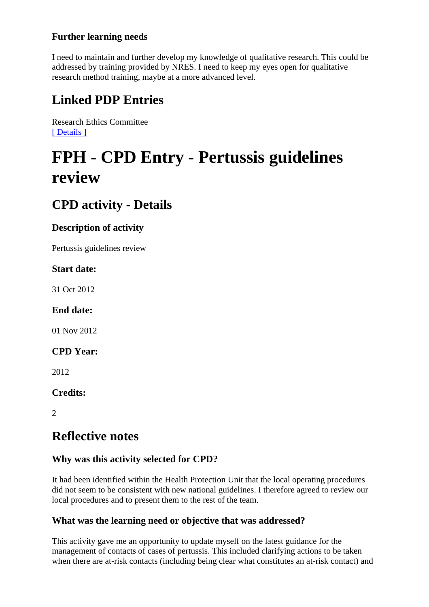## **Further learning needs**

I need to maintain and further develop my knowledge of qualitative research. This could be addressed by training provided by NRES. I need to keep my eyes open for qualitative research method training, maybe at a more advanced level.

# **Linked PDP Entries**

Research Ethics Committee [ Details ]

# **FPH - CPD Entry - Pertussis guidelines review**

# **CPD activity - Details**

# **Description of activity**

Pertussis guidelines review

### **Start date:**

31 Oct 2012

### **End date:**

01 Nov 2012

#### **CPD Year:**

2012

### **Credits:**

 $\mathcal{D}$ 

# **Reflective notes**

# **Why was this activity selected for CPD?**

It had been identified within the Health Protection Unit that the local operating procedures did not seem to be consistent with new national guidelines. I therefore agreed to review our local procedures and to present them to the rest of the team.

### **What was the learning need or objective that was addressed?**

This activity gave me an opportunity to update myself on the latest guidance for the management of contacts of cases of pertussis. This included clarifying actions to be taken when there are at-risk contacts (including being clear what constitutes an at-risk contact) and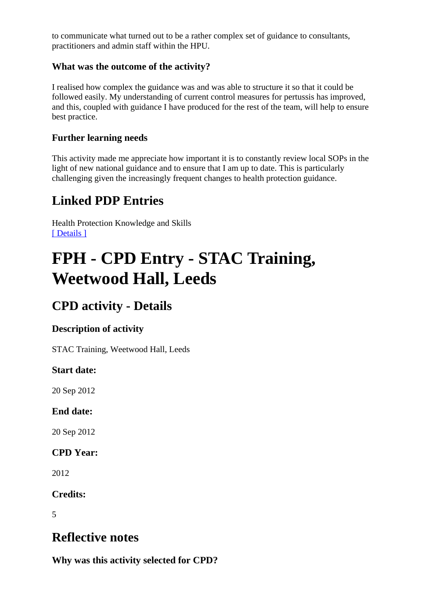to communicate what turned out to be a rather complex set of guidance to consultants, practitioners and admin staff within the HPU.

#### **What was the outcome of the activity?**

I realised how complex the guidance was and was able to structure it so that it could be followed easily. My understanding of current control measures for pertussis has improved, and this, coupled with guidance I have produced for the rest of the team, will help to ensure best practice.

#### **Further learning needs**

This activity made me appreciate how important it is to constantly review local SOPs in the light of new national guidance and to ensure that I am up to date. This is particularly challenging given the increasingly frequent changes to health protection guidance.

# **Linked PDP Entries**

Health Protection Knowledge and Skills [ Details ]

# **FPH - CPD Entry - STAC Training, Weetwood Hall, Leeds**

# **CPD activity - Details**

### **Description of activity**

STAC Training, Weetwood Hall, Leeds

#### **Start date:**

20 Sep 2012

### **End date:**

20 Sep 2012

**CPD Year:** 

2012

### **Credits:**

5

# **Reflective notes**

**Why was this activity selected for CPD?**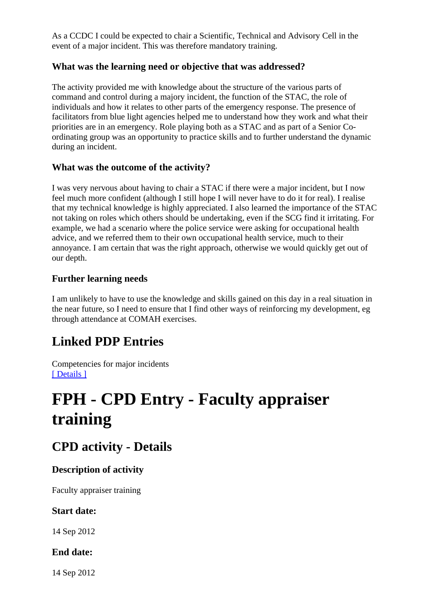As a CCDC I could be expected to chair a Scientific, Technical and Advisory Cell in the event of a major incident. This was therefore mandatory training.

#### **What was the learning need or objective that was addressed?**

The activity provided me with knowledge about the structure of the various parts of command and control during a majory incident, the function of the STAC, the role of individuals and how it relates to other parts of the emergency response. The presence of facilitators from blue light agencies helped me to understand how they work and what their priorities are in an emergency. Role playing both as a STAC and as part of a Senior Coordinating group was an opportunity to practice skills and to further understand the dynamic during an incident.

#### **What was the outcome of the activity?**

I was very nervous about having to chair a STAC if there were a major incident, but I now feel much more confident (although I still hope I will never have to do it for real). I realise that my technical knowledge is highly appreciated. I also learned the importance of the STAC not taking on roles which others should be undertaking, even if the SCG find it irritating. For example, we had a scenario where the police service were asking for occupational health advice, and we referred them to their own occupational health service, much to their annoyance. I am certain that was the right approach, otherwise we would quickly get out of our depth.

#### **Further learning needs**

I am unlikely to have to use the knowledge and skills gained on this day in a real situation in the near future, so I need to ensure that I find other ways of reinforcing my development, eg through attendance at COMAH exercises.

# **Linked PDP Entries**

Competencies for major incidents [ Details ]

# **FPH - CPD Entry - Faculty appraiser training**

# **CPD activity - Details**

### **Description of activity**

Faculty appraiser training

#### **Start date:**

14 Sep 2012

#### **End date:**

14 Sep 2012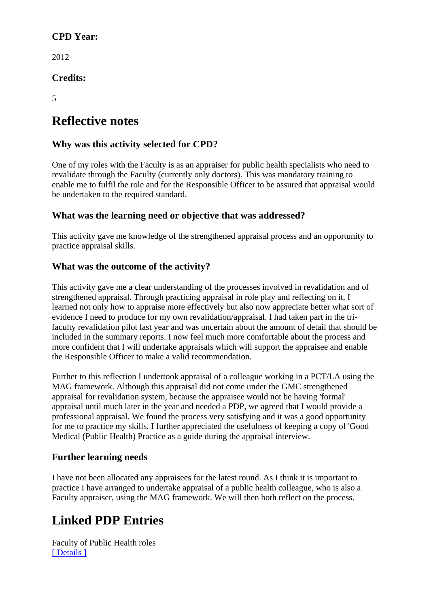### **CPD Year:**

2012

**Credits:** 

5

# **Reflective notes**

### **Why was this activity selected for CPD?**

One of my roles with the Faculty is as an appraiser for public health specialists who need to revalidate through the Faculty (currently only doctors). This was mandatory training to enable me to fulfil the role and for the Responsible Officer to be assured that appraisal would be undertaken to the required standard.

### **What was the learning need or objective that was addressed?**

This activity gave me knowledge of the strengthened appraisal process and an opportunity to practice appraisal skills.

#### **What was the outcome of the activity?**

This activity gave me a clear understanding of the processes involved in revalidation and of strengthened appraisal. Through practicing appraisal in role play and reflecting on it, I learned not only how to appraise more effectively but also now appreciate better what sort of evidence I need to produce for my own revalidation/appraisal. I had taken part in the trifaculty revalidation pilot last year and was uncertain about the amount of detail that should be included in the summary reports. I now feel much more comfortable about the process and more confident that I will undertake appraisals which will support the appraisee and enable the Responsible Officer to make a valid recommendation.

Further to this reflection I undertook appraisal of a colleague working in a PCT/LA using the MAG framework. Although this appraisal did not come under the GMC strengthened appraisal for revalidation system, because the appraisee would not be having 'formal' appraisal until much later in the year and needed a PDP, we agreed that I would provide a professional appraisal. We found the process very satisfying and it was a good opportunity for me to practice my skills. I further appreciated the usefulness of keeping a copy of 'Good Medical (Public Health) Practice as a guide during the appraisal interview.

### **Further learning needs**

I have not been allocated any appraisees for the latest round. As I think it is important to practice I have arranged to undertake appraisal of a public health colleague, who is also a Faculty appraiser, using the MAG framework. We will then both reflect on the process.

# **Linked PDP Entries**

Faculty of Public Health roles [ Details ]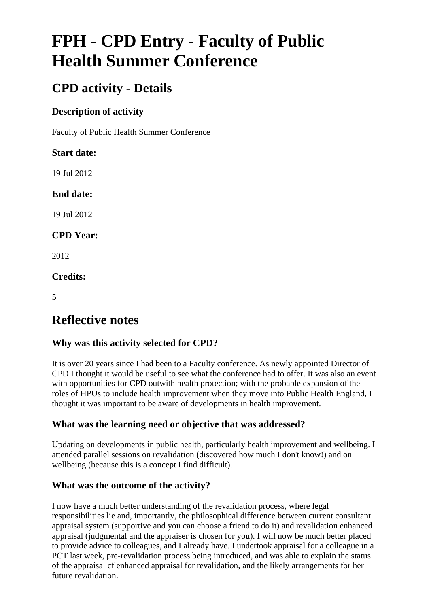# **FPH - CPD Entry - Faculty of Public Health Summer Conference**

# **CPD activity - Details**

## **Description of activity**

Faculty of Public Health Summer Conference

# **Start date:**

19 Jul 2012

# **End date:**

19 Jul 2012

# **CPD Year:**

2012

# **Credits:**

5

# **Reflective notes**

# **Why was this activity selected for CPD?**

It is over 20 years since I had been to a Faculty conference. As newly appointed Director of CPD I thought it would be useful to see what the conference had to offer. It was also an event with opportunities for CPD outwith health protection; with the probable expansion of the roles of HPUs to include health improvement when they move into Public Health England, I thought it was important to be aware of developments in health improvement.

# **What was the learning need or objective that was addressed?**

Updating on developments in public health, particularly health improvement and wellbeing. I attended parallel sessions on revalidation (discovered how much I don't know!) and on wellbeing (because this is a concept I find difficult).

### **What was the outcome of the activity?**

I now have a much better understanding of the revalidation process, where legal responsibilities lie and, importantly, the philosophical difference between current consultant appraisal system (supportive and you can choose a friend to do it) and revalidation enhanced appraisal (judgmental and the appraiser is chosen for you). I will now be much better placed to provide advice to colleagues, and I already have. I undertook appraisal for a colleague in a PCT last week, pre-revalidation process being introduced, and was able to explain the status of the appraisal cf enhanced appraisal for revalidation, and the likely arrangements for her future revalidation.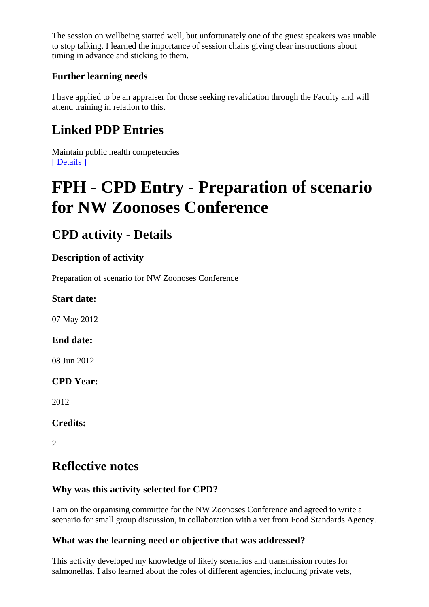The session on wellbeing started well, but unfortunately one of the guest speakers was unable to stop talking. I learned the importance of session chairs giving clear instructions about timing in advance and sticking to them.

## **Further learning needs**

I have applied to be an appraiser for those seeking revalidation through the Faculty and will attend training in relation to this.

# **Linked PDP Entries**

Maintain public health competencies [ Details ]

# **FPH - CPD Entry - Preparation of scenario for NW Zoonoses Conference**

# **CPD activity - Details**

## **Description of activity**

Preparation of scenario for NW Zoonoses Conference

### **Start date:**

07 May 2012

### **End date:**

08 Jun 2012

### **CPD Year:**

2012

# **Credits:**

 $\mathcal{L}$ 

# **Reflective notes**

# **Why was this activity selected for CPD?**

I am on the organising committee for the NW Zoonoses Conference and agreed to write a scenario for small group discussion, in collaboration with a vet from Food Standards Agency.

### **What was the learning need or objective that was addressed?**

This activity developed my knowledge of likely scenarios and transmission routes for salmonellas. I also learned about the roles of different agencies, including private vets,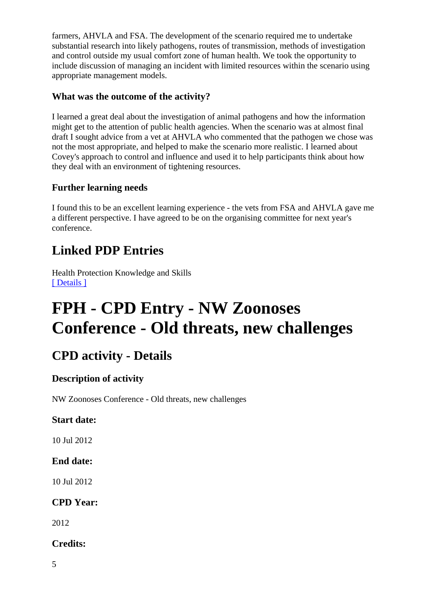farmers, AHVLA and FSA. The development of the scenario required me to undertake substantial research into likely pathogens, routes of transmission, methods of investigation and control outside my usual comfort zone of human health. We took the opportunity to include discussion of managing an incident with limited resources within the scenario using appropriate management models.

### **What was the outcome of the activity?**

I learned a great deal about the investigation of animal pathogens and how the information might get to the attention of public health agencies. When the scenario was at almost final draft I sought advice from a vet at AHVLA who commented that the pathogen we chose was not the most appropriate, and helped to make the scenario more realistic. I learned about Covey's approach to control and influence and used it to help participants think about how they deal with an environment of tightening resources.

# **Further learning needs**

I found this to be an excellent learning experience - the vets from FSA and AHVLA gave me a different perspective. I have agreed to be on the organising committee for next year's conference.

# **Linked PDP Entries**

Health Protection Knowledge and Skills [ Details ]

# **FPH - CPD Entry - NW Zoonoses Conference - Old threats, new challenges**

# **CPD activity - Details**

# **Description of activity**

NW Zoonoses Conference - Old threats, new challenges

### **Start date:**

10 Jul 2012

### **End date:**

10 Jul 2012

# **CPD Year:**

2012

### **Credits:**

5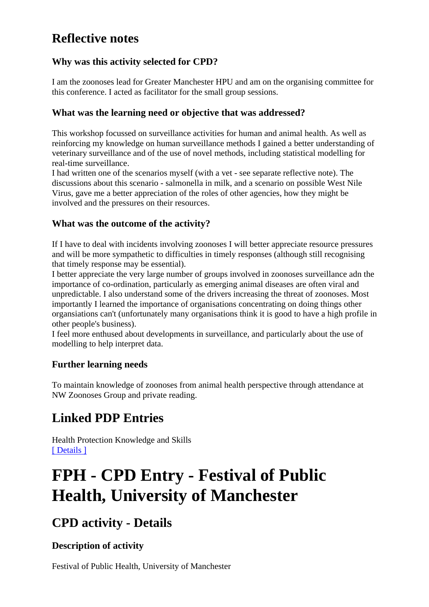# **Reflective notes**

### **Why was this activity selected for CPD?**

I am the zoonoses lead for Greater Manchester HPU and am on the organising committee for this conference. I acted as facilitator for the small group sessions.

#### **What was the learning need or objective that was addressed?**

This workshop focussed on surveillance activities for human and animal health. As well as reinforcing my knowledge on human surveillance methods I gained a better understanding of veterinary surveillance and of the use of novel methods, including statistical modelling for real-time surveillance.

I had written one of the scenarios myself (with a vet - see separate reflective note). The discussions about this scenario - salmonella in milk, and a scenario on possible West Nile Virus, gave me a better appreciation of the roles of other agencies, how they might be involved and the pressures on their resources.

### **What was the outcome of the activity?**

If I have to deal with incidents involving zoonoses I will better appreciate resource pressures and will be more sympathetic to difficulties in timely responses (although still recognising that timely response may be essential).

I better appreciate the very large number of groups involved in zoonoses surveillance adn the importance of co-ordination, particularly as emerging animal diseases are often viral and unpredictable. I also understand some of the drivers increasing the threat of zoonoses. Most importantly I learned the importance of organisations concentrating on doing things other organsiations can't (unfortunately many organisations think it is good to have a high profile in other people's business).

I feel more enthused about developments in surveillance, and particularly about the use of modelling to help interpret data.

### **Further learning needs**

To maintain knowledge of zoonoses from animal health perspective through attendance at NW Zoonoses Group and private reading.

# **Linked PDP Entries**

Health Protection Knowledge and Skills [ Details ]

# **FPH - CPD Entry - Festival of Public Health, University of Manchester**

# **CPD activity - Details**

### **Description of activity**

Festival of Public Health, University of Manchester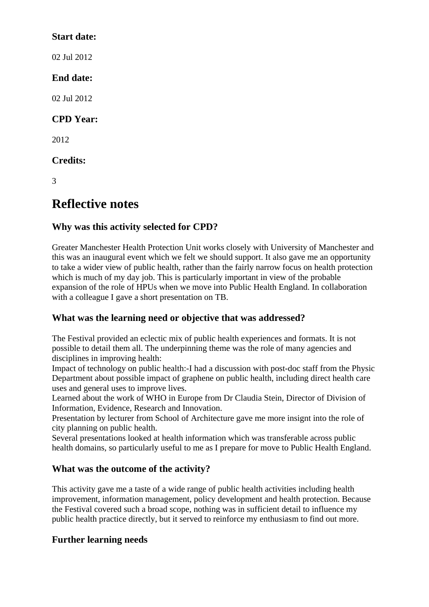#### **Start date:**

02 Jul 2012

## **End date:**

02 Jul 2012

# **CPD Year:**

2012

# **Credits:**

3

# **Reflective notes**

# **Why was this activity selected for CPD?**

Greater Manchester Health Protection Unit works closely with University of Manchester and this was an inaugural event which we felt we should support. It also gave me an opportunity to take a wider view of public health, rather than the fairly narrow focus on health protection which is much of my day job. This is particularly important in view of the probable expansion of the role of HPUs when we move into Public Health England. In collaboration with a colleague I gave a short presentation on TB.

# **What was the learning need or objective that was addressed?**

The Festival provided an eclectic mix of public health experiences and formats. It is not possible to detail them all. The underpinning theme was the role of many agencies and disciplines in improving health:

Impact of technology on public health:-I had a discussion with post-doc staff from the Physic Department about possible impact of graphene on public health, including direct health care uses and general uses to improve lives.

Learned about the work of WHO in Europe from Dr Claudia Stein, Director of Division of Information, Evidence, Research and Innovation.

Presentation by lecturer from School of Architecture gave me more insignt into the role of city planning on public health.

Several presentations looked at health information which was transferable across public health domains, so particularly useful to me as I prepare for move to Public Health England.

# **What was the outcome of the activity?**

This activity gave me a taste of a wide range of public health activities including health improvement, information management, policy development and health protection. Because the Festival covered such a broad scope, nothing was in sufficient detail to influence my public health practice directly, but it served to reinforce my enthusiasm to find out more.

# **Further learning needs**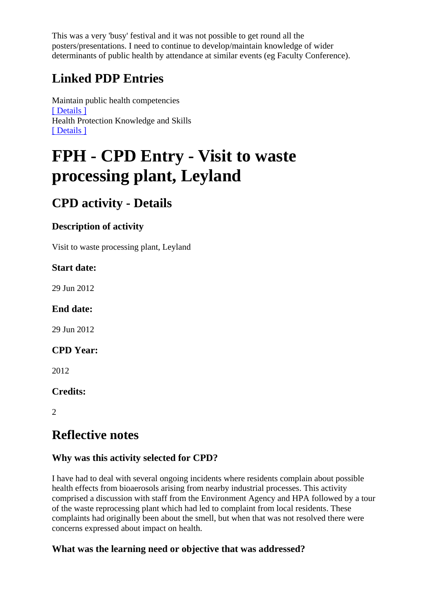This was a very 'busy' festival and it was not possible to get round all the posters/presentations. I need to continue to develop/maintain knowledge of wider determinants of public health by attendance at similar events (eg Faculty Conference).

# **Linked PDP Entries**

Maintain public health competencies [ Details ] Health Protection Knowledge and Skills [ Details ]

# **FPH - CPD Entry - Visit to waste processing plant, Leyland**

# **CPD activity - Details**

# **Description of activity**

Visit to waste processing plant, Leyland

## **Start date:**

29 Jun 2012

# **End date:**

29 Jun 2012

### **CPD Year:**

2012

# **Credits:**

2

# **Reflective notes**

# **Why was this activity selected for CPD?**

I have had to deal with several ongoing incidents where residents complain about possible health effects from bioaerosols arising from nearby industrial processes. This activity comprised a discussion with staff from the Environment Agency and HPA followed by a tour of the waste reprocessing plant which had led to complaint from local residents. These complaints had originally been about the smell, but when that was not resolved there were concerns expressed about impact on health.

# **What was the learning need or objective that was addressed?**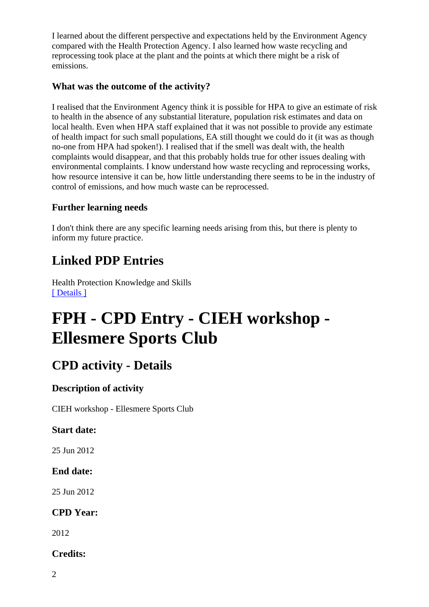I learned about the different perspective and expectations held by the Environment Agency compared with the Health Protection Agency. I also learned how waste recycling and reprocessing took place at the plant and the points at which there might be a risk of emissions.

#### **What was the outcome of the activity?**

I realised that the Environment Agency think it is possible for HPA to give an estimate of risk to health in the absence of any substantial literature, population risk estimates and data on local health. Even when HPA staff explained that it was not possible to provide any estimate of health impact for such small populations, EA still thought we could do it (it was as though no-one from HPA had spoken!). I realised that if the smell was dealt with, the health complaints would disappear, and that this probably holds true for other issues dealing with environmental complaints. I know understand how waste recycling and reprocessing works, how resource intensive it can be, how little understanding there seems to be in the industry of control of emissions, and how much waste can be reprocessed.

#### **Further learning needs**

I don't think there are any specific learning needs arising from this, but there is plenty to inform my future practice.

# **Linked PDP Entries**

Health Protection Knowledge and Skills [ Details ]

# **FPH - CPD Entry - CIEH workshop - Ellesmere Sports Club**

# **CPD activity - Details**

### **Description of activity**

CIEH workshop - Ellesmere Sports Club

#### **Start date:**

25 Jun 2012

### **End date:**

25 Jun 2012

### **CPD Year:**

2012

### **Credits:**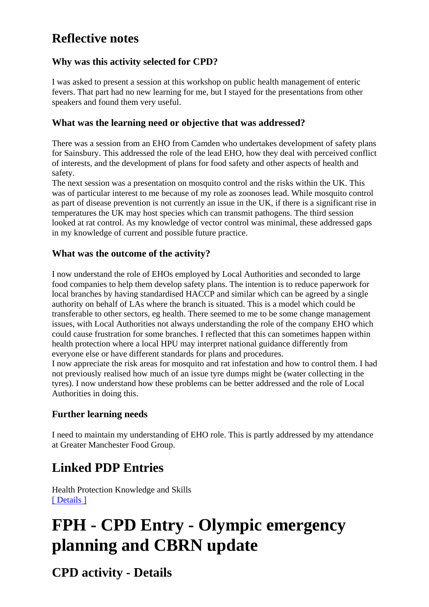# **Reflective notes**

## **Why was this activity selected for CPD?**

I was asked to present a session at this workshop on public health management of enteric fevers. That part had no new learning for me, but I stayed for the presentations from other speakers and found them very useful.

#### **What was the learning need or objective that was addressed?**

There was a session from an EHO from Camden who undertakes development of safety plans for Sainsbury. This addressed the role of the lead EHO, how they deal with perceived conflict of interests, and the development of plans for food safety and other aspects of health and safety.

The next session was a presentation on mosquito control and the risks within the UK. This was of particular interest to me because of my role as zoonoses lead. While mosquito control as part of disease prevention is not currently an issue in the UK, if there is a significant rise in temperatures the UK may host species which can transmit pathogens. The third session looked at rat control. As my knowledge of vector control was minimal, these addressed gaps in my knowledge of current and possible future practice.

#### **What was the outcome of the activity?**

I now understand the role of EHOs employed by Local Authorities and seconded to large food companies to help them develop safety plans. The intention is to reduce paperwork for local branches by having standardised HACCP and similar which can be agreed by a single authority on behalf of LAs where the branch is situated. This is a model which could be transferable to other sectors, eg health. There seemed to me to be some change management issues, with Local Authorities not always understanding the role of the company EHO which could cause frustration for some branches. I reflected that this can sometimes happen within health protection where a local HPU may interpret national guidance differently from everyone else or have different standards for plans and procedures.

I now appreciate the risk areas for mosquito and rat infestation and how to control them. I had not previously realised how much of an issue tyre dumps might be (water collecting in the tyres). I now understand how these problems can be better addressed and the role of Local Authorities in doing this.

### **Further learning needs**

I need to maintain my understanding of EHO role. This is partly addressed by my attendance at Greater Manchester Food Group.

# **Linked PDP Entries**

Health Protection Knowledge and Skills [ Details ]

# **FPH - CPD Entry - Olympic emergency planning and CBRN update**

**CPD activity - Details**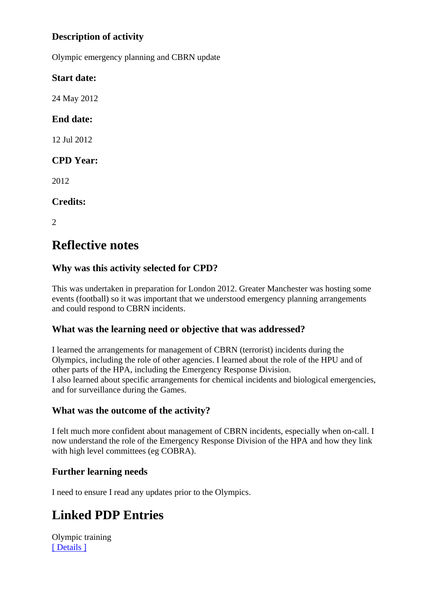# **Description of activity**

Olympic emergency planning and CBRN update

#### **Start date:**

24 May 2012

# **End date:**

12 Jul 2012

## **CPD Year:**

2012

### **Credits:**

2

# **Reflective notes**

## **Why was this activity selected for CPD?**

This was undertaken in preparation for London 2012. Greater Manchester was hosting some events (football) so it was important that we understood emergency planning arrangements and could respond to CBRN incidents.

### **What was the learning need or objective that was addressed?**

I learned the arrangements for management of CBRN (terrorist) incidents during the Olympics, including the role of other agencies. I learned about the role of the HPU and of other parts of the HPA, including the Emergency Response Division. I also learned about specific arrangements for chemical incidents and biological emergencies, and for surveillance during the Games.

#### **What was the outcome of the activity?**

I felt much more confident about management of CBRN incidents, especially when on-call. I now understand the role of the Emergency Response Division of the HPA and how they link with high level committees (eg COBRA).

### **Further learning needs**

I need to ensure I read any updates prior to the Olympics.

# **Linked PDP Entries**

Olympic training [ Details ]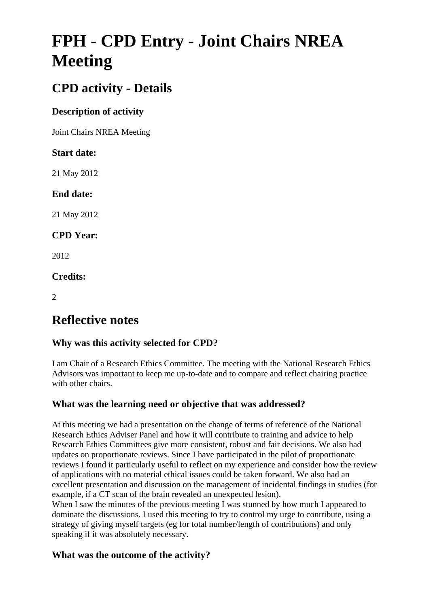# **FPH - CPD Entry - Joint Chairs NREA Meeting**

# **CPD activity - Details**

# **Description of activity**

Joint Chairs NREA Meeting

### **Start date:**

21 May 2012

## **End date:**

21 May 2012

## **CPD Year:**

2012

## **Credits:**

 $\mathcal{L}$ 

# **Reflective notes**

# **Why was this activity selected for CPD?**

I am Chair of a Research Ethics Committee. The meeting with the National Research Ethics Advisors was important to keep me up-to-date and to compare and reflect chairing practice with other chairs.

### **What was the learning need or objective that was addressed?**

At this meeting we had a presentation on the change of terms of reference of the National Research Ethics Adviser Panel and how it will contribute to training and advice to help Research Ethics Committees give more consistent, robust and fair decisions. We also had updates on proportionate reviews. Since I have participated in the pilot of proportionate reviews I found it particularly useful to reflect on my experience and consider how the review of applications with no material ethical issues could be taken forward. We also had an excellent presentation and discussion on the management of incidental findings in studies (for example, if a CT scan of the brain revealed an unexpected lesion).

When I saw the minutes of the previous meeting I was stunned by how much I appeared to dominate the discussions. I used this meeting to try to control my urge to contribute, using a strategy of giving myself targets (eg for total number/length of contributions) and only speaking if it was absolutely necessary.

### **What was the outcome of the activity?**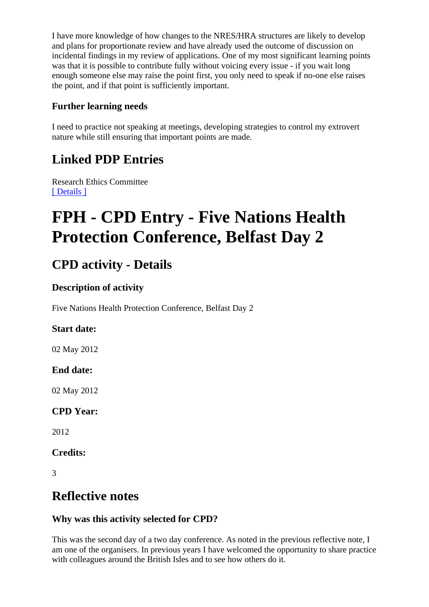I have more knowledge of how changes to the NRES/HRA structures are likely to develop and plans for proportionate review and have already used the outcome of discussion on incidental findings in my review of applications. One of my most significant learning points was that it is possible to contribute fully without voicing every issue - if you wait long enough someone else may raise the point first, you only need to speak if no-one else raises the point, and if that point is sufficiently important.

### **Further learning needs**

I need to practice not speaking at meetings, developing strategies to control my extrovert nature while still ensuring that important points are made.

# **Linked PDP Entries**

Research Ethics Committee [ Details ]

# **FPH - CPD Entry - Five Nations Health Protection Conference, Belfast Day 2**

# **CPD activity - Details**

## **Description of activity**

Five Nations Health Protection Conference, Belfast Day 2

# **Start date:**

02 May 2012

# **End date:**

02 May 2012

# **CPD Year:**

2012

### **Credits:**

3

# **Reflective notes**

# **Why was this activity selected for CPD?**

This was the second day of a two day conference. As noted in the previous reflective note, I am one of the organisers. In previous years I have welcomed the opportunity to share practice with colleagues around the British Isles and to see how others do it.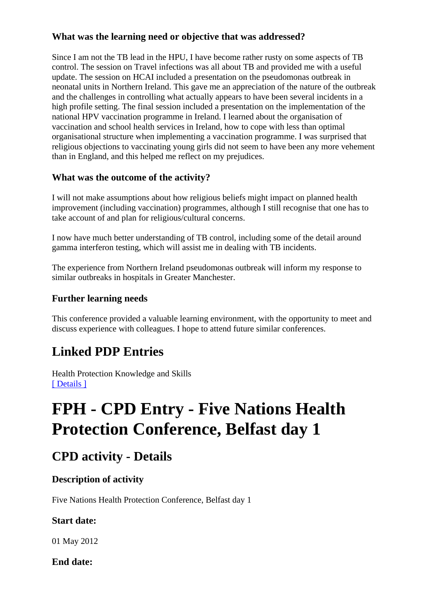### **What was the learning need or objective that was addressed?**

Since I am not the TB lead in the HPU, I have become rather rusty on some aspects of TB control. The session on Travel infections was all about TB and provided me with a useful update. The session on HCAI included a presentation on the pseudomonas outbreak in neonatal units in Northern Ireland. This gave me an appreciation of the nature of the outbreak and the challenges in controlling what actually appears to have been several incidents in a high profile setting. The final session included a presentation on the implementation of the national HPV vaccination programme in Ireland. I learned about the organisation of vaccination and school health services in Ireland, how to cope with less than optimal organisational structure when implementing a vaccination programme. I was surprised that religious objections to vaccinating young girls did not seem to have been any more vehement than in England, and this helped me reflect on my prejudices.

#### **What was the outcome of the activity?**

I will not make assumptions about how religious beliefs might impact on planned health improvement (including vaccination) programmes, although I still recognise that one has to take account of and plan for religious/cultural concerns.

I now have much better understanding of TB control, including some of the detail around gamma interferon testing, which will assist me in dealing with TB incidents.

The experience from Northern Ireland pseudomonas outbreak will inform my response to similar outbreaks in hospitals in Greater Manchester.

#### **Further learning needs**

This conference provided a valuable learning environment, with the opportunity to meet and discuss experience with colleagues. I hope to attend future similar conferences.

# **Linked PDP Entries**

Health Protection Knowledge and Skills [ Details ]

# **FPH - CPD Entry - Five Nations Health Protection Conference, Belfast day 1**

# **CPD activity - Details**

### **Description of activity**

Five Nations Health Protection Conference, Belfast day 1

#### **Start date:**

01 May 2012

**End date:**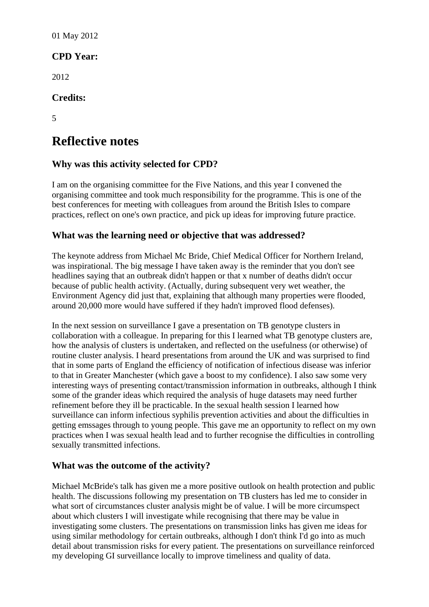01 May 2012

## **CPD Year:**

2012

#### **Credits:**

5

# **Reflective notes**

### **Why was this activity selected for CPD?**

I am on the organising committee for the Five Nations, and this year I convened the organising committee and took much responsibility for the programme. This is one of the best conferences for meeting with colleagues from around the British Isles to compare practices, reflect on one's own practice, and pick up ideas for improving future practice.

#### **What was the learning need or objective that was addressed?**

The keynote address from Michael Mc Bride, Chief Medical Officer for Northern Ireland, was inspirational. The big message I have taken away is the reminder that you don't see headlines saying that an outbreak didn't happen or that x number of deaths didn't occur because of public health activity. (Actually, during subsequent very wet weather, the Environment Agency did just that, explaining that although many properties were flooded, around 20,000 more would have suffered if they hadn't improved flood defenses).

In the next session on surveillance I gave a presentation on TB genotype clusters in collaboration with a colleague. In preparing for this I learned what TB genotype clusters are, how the analysis of clusters is undertaken, and reflected on the usefulness (or otherwise) of routine cluster analysis. I heard presentations from around the UK and was surprised to find that in some parts of England the efficiency of notification of infectious disease was inferior to that in Greater Manchester (which gave a boost to my confidence). I also saw some very interesting ways of presenting contact/transmission information in outbreaks, although I think some of the grander ideas which required the analysis of huge datasets may need further refinement before they ill be practicable. In the sexual health session I learned how surveillance can inform infectious syphilis prevention activities and about the difficulties in getting emssages through to young people. This gave me an opportunity to reflect on my own practices when I was sexual health lead and to further recognise the difficulties in controlling sexually transmitted infections.

#### **What was the outcome of the activity?**

Michael McBride's talk has given me a more positive outlook on health protection and public health. The discussions following my presentation on TB clusters has led me to consider in what sort of circumstances cluster analysis might be of value. I will be more circumspect about which clusters I will investigate while recognising that there may be value in investigating some clusters. The presentations on transmission links has given me ideas for using similar methodology for certain outbreaks, although I don't think I'd go into as much detail about transmission risks for every patient. The presentations on surveillance reinforced my developing GI surveillance locally to improve timeliness and quality of data.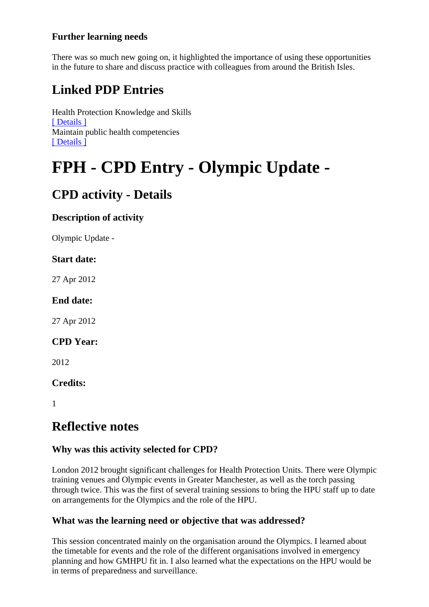## **Further learning needs**

There was so much new going on, it highlighted the importance of using these opportunities in the future to share and discuss practice with colleagues from around the British Isles.

# **Linked PDP Entries**

Health Protection Knowledge and Skills [ Details ] Maintain public health competencies [ Details ]

# **FPH - CPD Entry - Olympic Update -**

# **CPD activity - Details**

### **Description of activity**

Olympic Update -

#### **Start date:**

27 Apr 2012

#### **End date:**

27 Apr 2012

#### **CPD Year:**

2012

### **Credits:**

1

# **Reflective notes**

### **Why was this activity selected for CPD?**

London 2012 brought significant challenges for Health Protection Units. There were Olympic training venues and Olympic events in Greater Manchester, as well as the torch passing through twice. This was the first of several training sessions to bring the HPU staff up to date on arrangements for the Olympics and the role of the HPU.

### **What was the learning need or objective that was addressed?**

This session concentrated mainly on the organisation around the Olympics. I learned about the timetable for events and the role of the different organisations involved in emergency planning and how GMHPU fit in. I also learned what the expectations on the HPU would be in terms of preparedness and surveillance.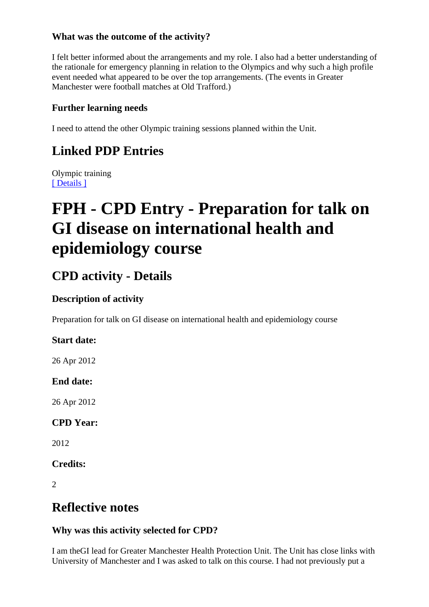### **What was the outcome of the activity?**

I felt better informed about the arrangements and my role. I also had a better understanding of the rationale for emergency planning in relation to the Olympics and why such a high profile event needed what appeared to be over the top arrangements. (The events in Greater Manchester were football matches at Old Trafford.)

#### **Further learning needs**

I need to attend the other Olympic training sessions planned within the Unit.

# **Linked PDP Entries**

Olympic training [ Details ]

# **FPH - CPD Entry - Preparation for talk on GI disease on international health and epidemiology course**

# **CPD activity - Details**

### **Description of activity**

Preparation for talk on GI disease on international health and epidemiology course

#### **Start date:**

26 Apr 2012

#### **End date:**

26 Apr 2012

### **CPD Year:**

2012

**Credits:** 

2

# **Reflective notes**

### **Why was this activity selected for CPD?**

I am theGI lead for Greater Manchester Health Protection Unit. The Unit has close links with University of Manchester and I was asked to talk on this course. I had not previously put a